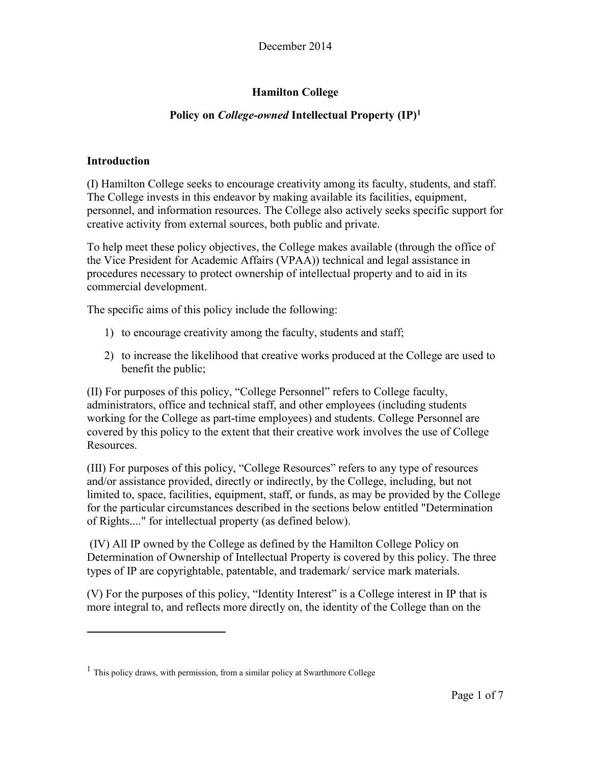# **Hamilton College**

# **Policy on** *College-owned* **Intellectual Property (IP)<sup>1</sup>**

#### **Introduction**

(I) Hamilton College seeks to encourage creativity among its faculty, students, and staff. The College invests in this endeavor by making available its facilities, equipment, personnel, and information resources. The College also actively seeks specific support for creative activity from external sources, both public and private.

To help meet these policy objectives, the College makes available (through the office of the Vice President for Academic Affairs (VPAA)) technical and legal assistance in procedures necessary to protect ownership of intellectual property and to aid in its commercial development.

The specific aims of this policy include the following:

- 1) to encourage creativity among the faculty, students and staff;
- 2) to increase the likelihood that creative works produced at the College are used to benefit the public;

(II) For purposes of this policy, "College Personnel" refers to College faculty, administrators, office and technical staff, and other employees (including students working for the College as part-time employees) and students. College Personnel are covered by this policy to the extent that their creative work involves the use of College Resources.

(III) For purposes of this policy, "College Resources" refers to any type of resources and/or assistance provided, directly or indirectly, by the College, including, but not limited to, space, facilities, equipment, staff, or funds, as may be provided by the College for the particular circumstances described in the sections below entitled "Determination of Rights...." for intellectual property (as defined below).

(IV) All IP owned by the College as defined by the Hamilton College Policy on Determination of Ownership of Intellectual Property is covered by this policy. The three types of IP are copyrightable, patentable, and trademark/ service mark materials.

(V) For the purposes of this policy, "Identity Interest" is a College interest in IP that is more integral to, and reflects more directly on, the identity of the College than on the

<sup>&</sup>lt;sup>1</sup> This policy draws, with permission, from a similar policy at Swarthmore College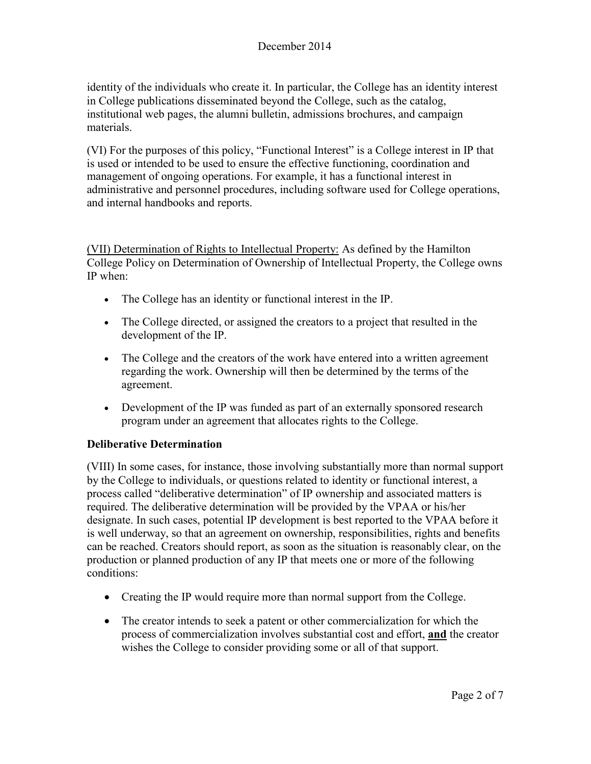identity of the individuals who create it. In particular, the College has an identity interest in College publications disseminated beyond the College, such as the catalog, institutional web pages, the alumni bulletin, admissions brochures, and campaign materials.

(VI) For the purposes of this policy, "Functional Interest" is a College interest in IP that is used or intended to be used to ensure the effective functioning, coordination and management of ongoing operations. For example, it has a functional interest in administrative and personnel procedures, including software used for College operations, and internal handbooks and reports.

(VII) Determination of Rights to Intellectual Property: As defined by the Hamilton College Policy on Determination of Ownership of Intellectual Property, the College owns IP when:

- The College has an identity or functional interest in the IP.
- The College directed, or assigned the creators to a project that resulted in the development of the IP.
- The College and the creators of the work have entered into a written agreement regarding the work. Ownership will then be determined by the terms of the agreement.
- Development of the IP was funded as part of an externally sponsored research program under an agreement that allocates rights to the College.

## **Deliberative Determination**

(VIII) In some cases, for instance, those involving substantially more than normal support by the College to individuals, or questions related to identity or functional interest, a process called "deliberative determination" of IP ownership and associated matters is required. The deliberative determination will be provided by the VPAA or his/her designate. In such cases, potential IP development is best reported to the VPAA before it is well underway, so that an agreement on ownership, responsibilities, rights and benefits can be reached. Creators should report, as soon as the situation is reasonably clear, on the production or planned production of any IP that meets one or more of the following conditions:

- Creating the IP would require more than normal support from the College.
- The creator intends to seek a patent or other commercialization for which the process of commercialization involves substantial cost and effort, **and** the creator wishes the College to consider providing some or all of that support.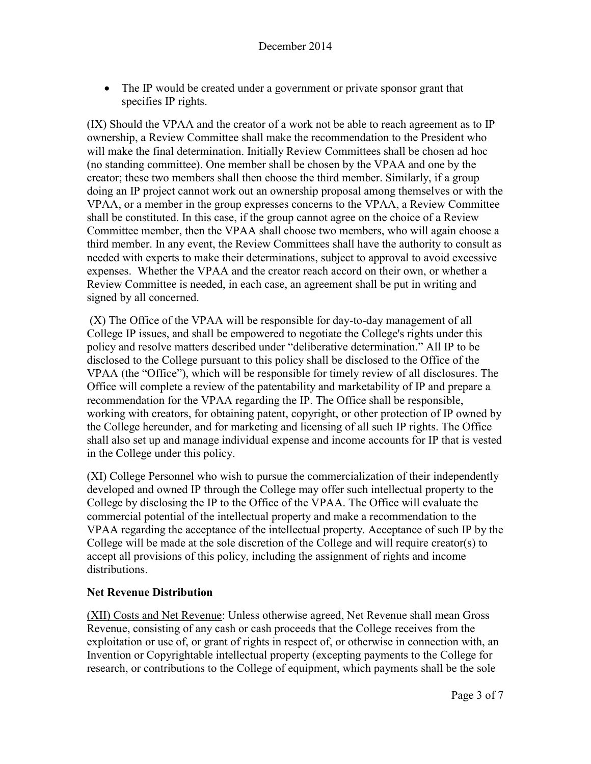• The IP would be created under a government or private sponsor grant that specifies IP rights.

(IX) Should the VPAA and the creator of a work not be able to reach agreement as to IP ownership, a Review Committee shall make the recommendation to the President who will make the final determination. Initially Review Committees shall be chosen ad hoc (no standing committee). One member shall be chosen by the VPAA and one by the creator; these two members shall then choose the third member. Similarly, if a group doing an IP project cannot work out an ownership proposal among themselves or with the VPAA, or a member in the group expresses concerns to the VPAA, a Review Committee shall be constituted. In this case, if the group cannot agree on the choice of a Review Committee member, then the VPAA shall choose two members, who will again choose a third member. In any event, the Review Committees shall have the authority to consult as needed with experts to make their determinations, subject to approval to avoid excessive expenses. Whether the VPAA and the creator reach accord on their own, or whether a Review Committee is needed, in each case, an agreement shall be put in writing and signed by all concerned.

(X) The Office of the VPAA will be responsible for day-to-day management of all College IP issues, and shall be empowered to negotiate the College's rights under this policy and resolve matters described under "deliberative determination." All IP to be disclosed to the College pursuant to this policy shall be disclosed to the Office of the VPAA (the "Office"), which will be responsible for timely review of all disclosures. The Office will complete a review of the patentability and marketability of IP and prepare a recommendation for the VPAA regarding the IP. The Office shall be responsible, working with creators, for obtaining patent, copyright, or other protection of IP owned by the College hereunder, and for marketing and licensing of all such IP rights. The Office shall also set up and manage individual expense and income accounts for IP that is vested in the College under this policy.

(XI) College Personnel who wish to pursue the commercialization of their independently developed and owned IP through the College may offer such intellectual property to the College by disclosing the IP to the Office of the VPAA. The Office will evaluate the commercial potential of the intellectual property and make a recommendation to the VPAA regarding the acceptance of the intellectual property. Acceptance of such IP by the College will be made at the sole discretion of the College and will require creator(s) to accept all provisions of this policy, including the assignment of rights and income distributions.

## **Net Revenue Distribution**

(XII) Costs and Net Revenue: Unless otherwise agreed, Net Revenue shall mean Gross Revenue, consisting of any cash or cash proceeds that the College receives from the exploitation or use of, or grant of rights in respect of, or otherwise in connection with, an Invention or Copyrightable intellectual property (excepting payments to the College for research, or contributions to the College of equipment, which payments shall be the sole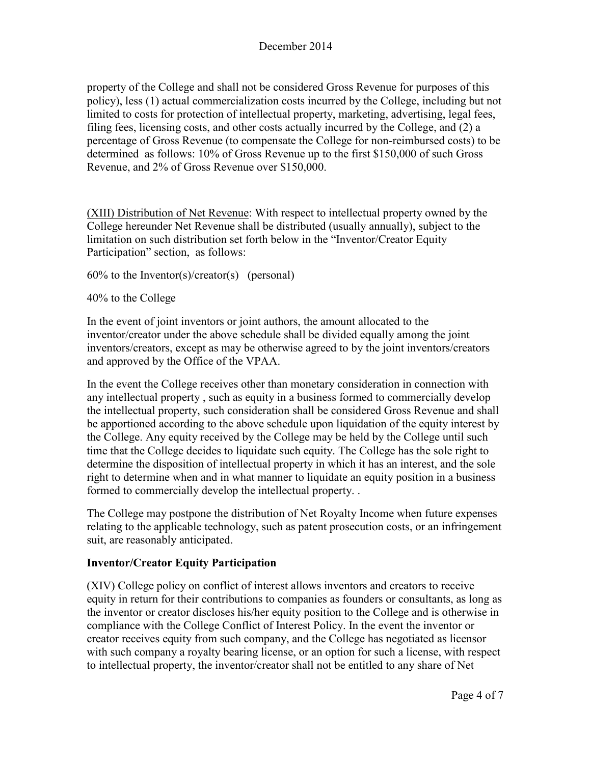property of the College and shall not be considered Gross Revenue for purposes of this policy), less (1) actual commercialization costs incurred by the College, including but not limited to costs for protection of intellectual property, marketing, advertising, legal fees, filing fees, licensing costs, and other costs actually incurred by the College, and (2) a percentage of Gross Revenue (to compensate the College for non-reimbursed costs) to be determined as follows: 10% of Gross Revenue up to the first \$150,000 of such Gross Revenue, and 2% of Gross Revenue over \$150,000.

(XIII) Distribution of Net Revenue: With respect to intellectual property owned by the College hereunder Net Revenue shall be distributed (usually annually), subject to the limitation on such distribution set forth below in the "Inventor/Creator Equity Participation" section, as follows:

 $60\%$  to the Inventor(s)/creator(s) (personal)

40% to the College

In the event of joint inventors or joint authors, the amount allocated to the inventor/creator under the above schedule shall be divided equally among the joint inventors/creators, except as may be otherwise agreed to by the joint inventors/creators and approved by the Office of the VPAA.

In the event the College receives other than monetary consideration in connection with any intellectual property , such as equity in a business formed to commercially develop the intellectual property, such consideration shall be considered Gross Revenue and shall be apportioned according to the above schedule upon liquidation of the equity interest by the College. Any equity received by the College may be held by the College until such time that the College decides to liquidate such equity. The College has the sole right to determine the disposition of intellectual property in which it has an interest, and the sole right to determine when and in what manner to liquidate an equity position in a business formed to commercially develop the intellectual property. .

The College may postpone the distribution of Net Royalty Income when future expenses relating to the applicable technology, such as patent prosecution costs, or an infringement suit, are reasonably anticipated.

## **Inventor/Creator Equity Participation**

(XIV) College policy on conflict of interest allows inventors and creators to receive equity in return for their contributions to companies as founders or consultants, as long as the inventor or creator discloses his/her equity position to the College and is otherwise in compliance with the College Conflict of Interest Policy. In the event the inventor or creator receives equity from such company, and the College has negotiated as licensor with such company a royalty bearing license, or an option for such a license, with respect to intellectual property, the inventor/creator shall not be entitled to any share of Net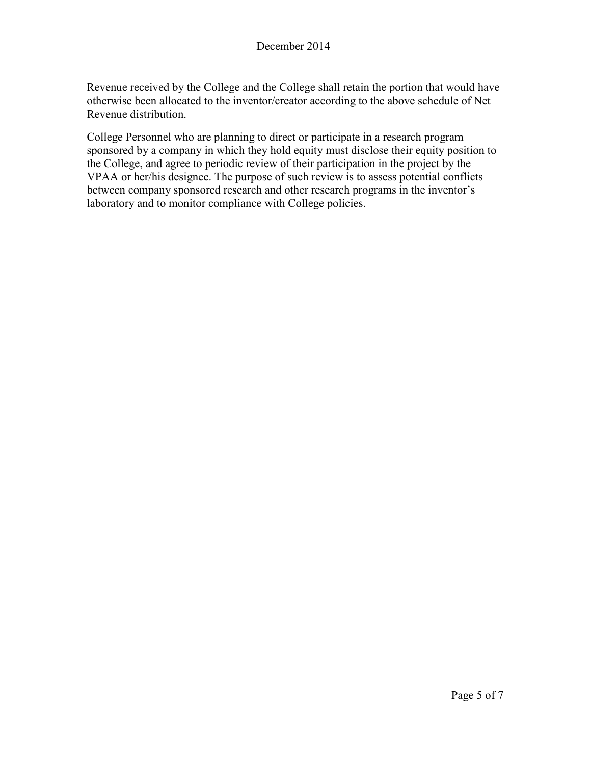Revenue received by the College and the College shall retain the portion that would have otherwise been allocated to the inventor/creator according to the above schedule of Net Revenue distribution.

College Personnel who are planning to direct or participate in a research program sponsored by a company in which they hold equity must disclose their equity position to the College, and agree to periodic review of their participation in the project by the VPAA or her/his designee. The purpose of such review is to assess potential conflicts between company sponsored research and other research programs in the inventor's laboratory and to monitor compliance with College policies.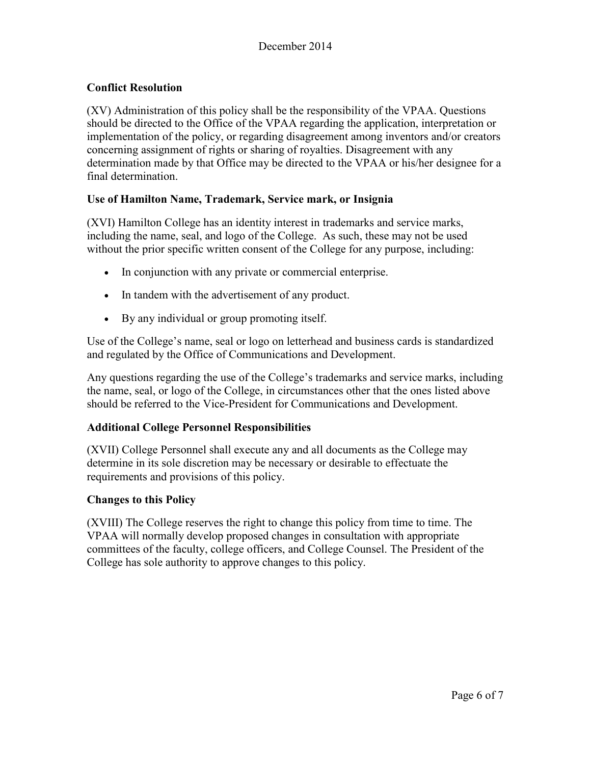## **Conflict Resolution**

(XV) Administration of this policy shall be the responsibility of the VPAA. Questions should be directed to the Office of the VPAA regarding the application, interpretation or implementation of the policy, or regarding disagreement among inventors and/or creators concerning assignment of rights or sharing of royalties. Disagreement with any determination made by that Office may be directed to the VPAA or his/her designee for a final determination.

## **Use of Hamilton Name, Trademark, Service mark, or Insignia**

(XVI) Hamilton College has an identity interest in trademarks and service marks, including the name, seal, and logo of the College. As such, these may not be used without the prior specific written consent of the College for any purpose, including:

- In conjunction with any private or commercial enterprise.
- In tandem with the advertisement of any product.
- By any individual or group promoting itself.

Use of the College's name, seal or logo on letterhead and business cards is standardized and regulated by the Office of Communications and Development.

Any questions regarding the use of the College's trademarks and service marks, including the name, seal, or logo of the College, in circumstances other that the ones listed above should be referred to the Vice-President for Communications and Development.

## **Additional College Personnel Responsibilities**

(XVII) College Personnel shall execute any and all documents as the College may determine in its sole discretion may be necessary or desirable to effectuate the requirements and provisions of this policy.

## **Changes to this Policy**

(XVIII) The College reserves the right to change this policy from time to time. The VPAA will normally develop proposed changes in consultation with appropriate committees of the faculty, college officers, and College Counsel. The President of the College has sole authority to approve changes to this policy.